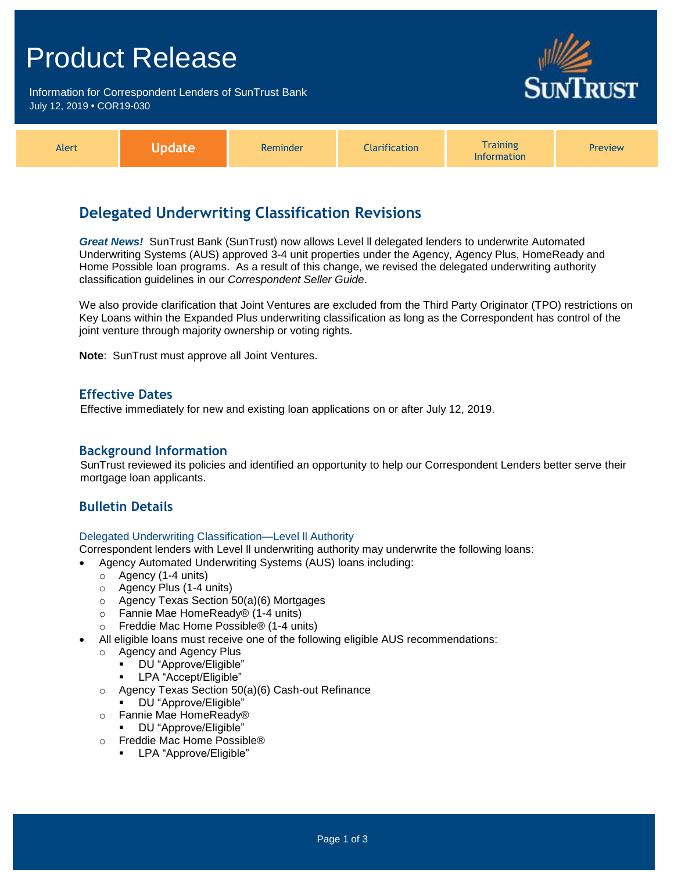## Product Release

Information for Correspondent Lenders of SunTrust Bank July 12, 2019 **•** COR19-030



| Alert | Jpdate | Reminder | <b>Clarification</b> | Training<br><b>Information</b> | <b>Preview</b> |
|-------|--------|----------|----------------------|--------------------------------|----------------|
|-------|--------|----------|----------------------|--------------------------------|----------------|

## **Delegated Underwriting Classification Revisions**

*Great News!* SunTrust Bank (SunTrust) now allows Level ll delegated lenders to underwrite Automated Underwriting Systems (AUS) approved 3-4 unit properties under the Agency, Agency Plus, HomeReady and Home Possible loan programs. As a result of this change, we revised the delegated underwriting authority classification guidelines in our *Correspondent Seller Guide*.

We also provide clarification that Joint Ventures are excluded from the Third Party Originator (TPO) restrictions on Key Loans within the Expanded Plus underwriting classification as long as the Correspondent has control of the joint venture through majority ownership or voting rights.

**Note**: SunTrust must approve all Joint Ventures.

## **Effective Dates**

Effective immediately for new and existing loan applications on or after July 12, 2019.

## **Background Information**

SunTrust reviewed its policies and identified an opportunity to help our Correspondent Lenders better serve their mortgage loan applicants.

## **Bulletin Details**

#### Delegated Underwriting Classification—Level ll Authority

Correspondent lenders with Level ll underwriting authority may underwrite the following loans:

- Agency Automated Underwriting Systems (AUS) loans including:
	- o Agency (1-4 units)
	- o Agency Plus (1-4 units)
	- o Agency Texas Section 50(a)(6) Mortgages
	- o Fannie Mae HomeReady® (1-4 units)
	- o Freddie Mac Home Possible® (1-4 units)
- All eligible loans must receive one of the following eligible AUS recommendations:
	- o Agency and Agency Plus
		- DU "Approve/Eligible"
		- **-** LPA "Accept/Eligible"
	- o Agency Texas Section 50(a)(6) Cash-out Refinance
	- DU "Approve/Eligible"
	- o Fannie Mae HomeReady®
		- DU "Approve/Eligible"
	- o Freddie Mac Home Possible®
		- **-** LPA "Approve/Eligible"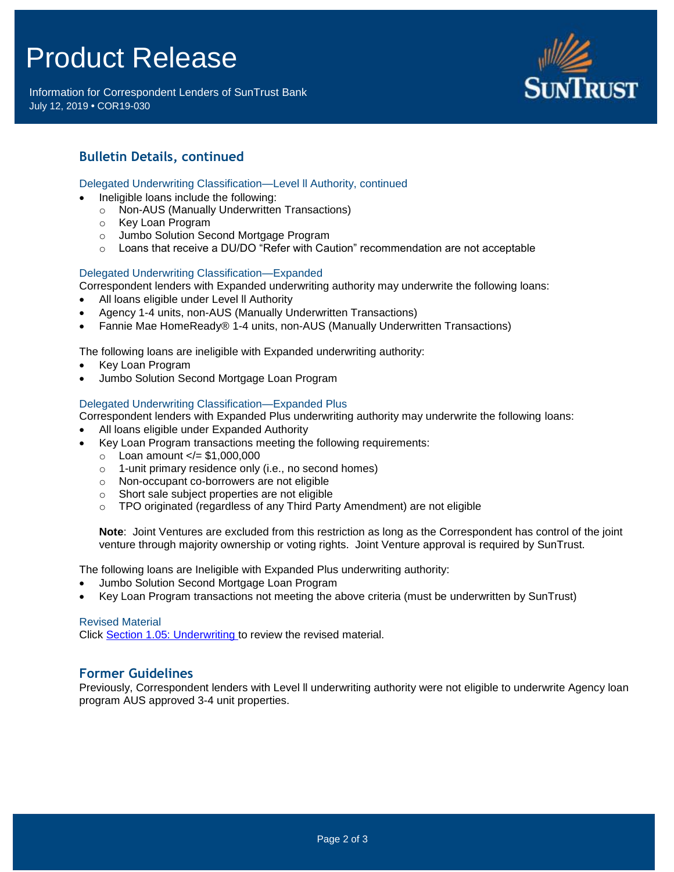# Product Release

Information for Correspondent Lenders of SunTrust Bank July 12, 2019 **•** COR19-030



## **Bulletin Details, continued**

#### Delegated Underwriting Classification—Level ll Authority, continued

- Ineligible loans include the following:
	- o Non-AUS (Manually Underwritten Transactions)
	- o Key Loan Program
	- o Jumbo Solution Second Mortgage Program
	- o Loans that receive a DU/DO "Refer with Caution" recommendation are not acceptable

#### Delegated Underwriting Classification—Expanded

- Correspondent lenders with Expanded underwriting authority may underwrite the following loans:
- All loans eligible under Level ll Authority
- Agency 1-4 units, non-AUS (Manually Underwritten Transactions)
- Fannie Mae HomeReady® 1-4 units, non-AUS (Manually Underwritten Transactions)

The following loans are ineligible with Expanded underwriting authority:

- Key Loan Program
- Jumbo Solution Second Mortgage Loan Program

#### Delegated Underwriting Classification—Expanded Plus

- Correspondent lenders with Expanded Plus underwriting authority may underwrite the following loans:
- All loans eligible under Expanded Authority
- Key Loan Program transactions meeting the following requirements:
	- $\circ$  Loan amount  $\lt$  = \$1,000,000
	- o 1-unit primary residence only (i.e., no second homes)
	- o Non-occupant co-borrowers are not eligible
	- o Short sale subject properties are not eligible
	- o TPO originated (regardless of any Third Party Amendment) are not eligible

**Note**: Joint Ventures are excluded from this restriction as long as the Correspondent has control of the joint venture through majority ownership or voting rights. Joint Venture approval is required by SunTrust.

The following loans are Ineligible with Expanded Plus underwriting authority:

- Jumbo Solution Second Mortgage Loan Program
- Key Loan Program transactions not meeting the above criteria (must be underwritten by SunTrust)

#### Revised Material

Click [Section 1.05: Underwriting](https://www.truistsellerguide.com/Manual/cor/general/1.05Underwriting.pdf) to review the revised material.

### **Former Guidelines**

Previously, Correspondent lenders with Level ll underwriting authority were not eligible to underwrite Agency loan program AUS approved 3-4 unit properties.